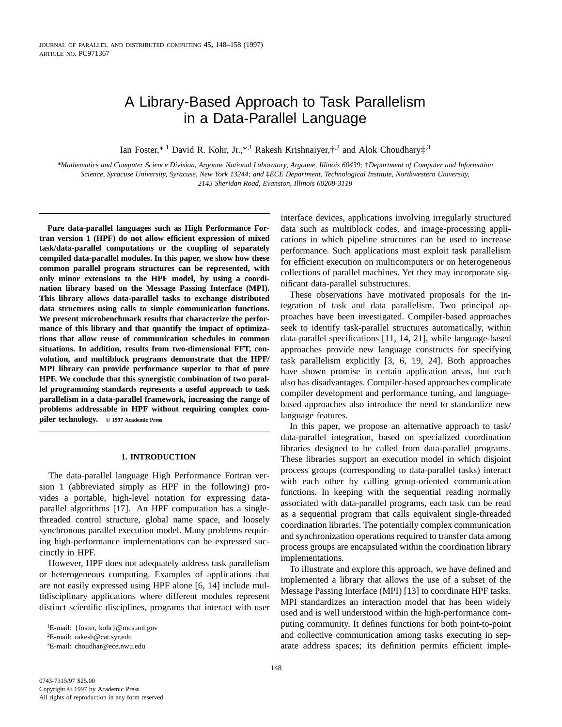# A Library-Based Approach to Task Parallelism in a Data-Parallel Language

Ian Foster,\*,<sup>1</sup> David R. Kohr, Jr.,\*,<sup>1</sup> Rakesh Krishnaiyer, $\dot{x}$ <sup>2</sup> and Alok Choudhary $\dot{x}$ <sup>3</sup>

*\*Mathematics and Computer Science Division, Argonne National Laboratory, Argonne, Illinois 60439;* †*Department of Computer and Information Science, Syracuse University, Syracuse, New York 13244; and* ‡*ECE Department, Technological Institute, Northwestern University, 2145 Sheridan Road, Evanston, Illinois 60208-3118*

**Pure data-parallel languages such as High Performance Fortran version 1 (HPF) do not allow efficient expression of mixed task/data-parallel computations or the coupling of separately compiled data-parallel modules. In this paper, we show how these common parallel program structures can be represented, with only minor extensions to the HPF model, by using a coordination library based on the Message Passing Interface (MPI). This library allows data-parallel tasks to exchange distributed data structures using calls to simple communication functions. We present microbenchmark results that characterize the performance of this library and that quantify the impact of optimizations that allow reuse of communication schedules in common situations. In addition, results from two-dimensional FFT, convolution, and multiblock programs demonstrate that the HPF/ MPI library can provide performance superior to that of pure HPF. We conclude that this synergistic combination of two parallel programming standards represents a useful approach to task parallelism in a data-parallel framework, increasing the range of problems addressable in HPF without requiring complex compiler technology. © 1997 Academic Press**

## **1. INTRODUCTION**

The data-parallel language High Performance Fortran version 1 (abbreviated simply as HPF in the following) provides a portable, high-level notation for expressing dataparallel algorithms [17]. An HPF computation has a singlethreaded control structure, global name space, and loosely synchronous parallel execution model. Many problems requiring high-performance implementations can be expressed succinctly in HPF.

However, HPF does not adequately address task parallelism or heterogeneous computing. Examples of applications that are not easily expressed using HPF alone [6, 14] include multidisciplinary applications where different modules represent distinct scientific disciplines, programs that interact with user

<sup>1</sup>E-mail: {foster, kohr}@mcs.anl.gov 2E-mail: rakesh@cat.syr.edu  ${}^{3}E$ -mail: choudhar@ece.nwu.edu

interface devices, applications involving irregularly structured data such as multiblock codes, and image-processing applications in which pipeline structures can be used to increase performance. Such applications must exploit task parallelism for efficient execution on multicomputers or on heterogeneous collections of parallel machines. Yet they may incorporate significant data-parallel substructures.

These observations have motivated proposals for the integration of task and data parallelism. Two principal approaches have been investigated. Compiler-based approaches seek to identify task-parallel structures automatically, within data-parallel specifications [11, 14, 21], while language-based approaches provide new language constructs for specifying task parallelism explicitly [3, 6, 19, 24]. Both approaches have shown promise in certain application areas, but each also has disadvantages. Compiler-based approaches complicate compiler development and performance tuning, and languagebased approaches also introduce the need to standardize new language features.

In this paper, we propose an alternative approach to task/ data-parallel integration, based on specialized coordination libraries designed to be called from data-parallel programs. These libraries support an execution model in which disjoint process groups (corresponding to data-parallel tasks) interact with each other by calling group-oriented communication functions. In keeping with the sequential reading normally associated with data-parallel programs, each task can be read as a sequential program that calls equivalent single-threaded coordination libraries. The potentially complex communication and synchronization operations required to transfer data among process groups are encapsulated within the coordination library implementations.

To illustrate and explore this approach, we have defined and implemented a library that allows the use of a subset of the Message Passing Interface (MPI) [13] to coordinate HPF tasks. MPI standardizes an interaction model that has been widely used and is well understood within the high-performance computing community. It defines functions for both point-to-point and collective communication among tasks executing in separate address spaces; its definition permits efficient imple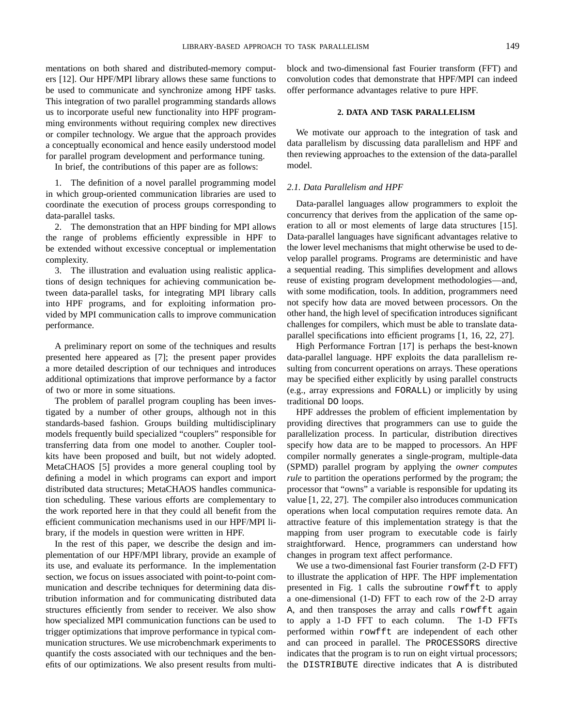mentations on both shared and distributed-memory computers [12]. Our HPF/MPI library allows these same functions to be used to communicate and synchronize among HPF tasks. This integration of two parallel programming standards allows us to incorporate useful new functionality into HPF programming environments without requiring complex new directives or compiler technology. We argue that the approach provides a conceptually economical and hence easily understood model for parallel program development and performance tuning.

In brief, the contributions of this paper are as follows:

1. The definition of a novel parallel programming model in which group-oriented communication libraries are used to coordinate the execution of process groups corresponding to data-parallel tasks.

2. The demonstration that an HPF binding for MPI allows the range of problems efficiently expressible in HPF to be extended without excessive conceptual or implementation complexity.

3. The illustration and evaluation using realistic applications of design techniques for achieving communication between data-parallel tasks, for integrating MPI library calls into HPF programs, and for exploiting information provided by MPI communication calls to improve communication performance.

A preliminary report on some of the techniques and results presented here appeared as [7]; the present paper provides a more detailed description of our techniques and introduces additional optimizations that improve performance by a factor of two or more in some situations.

The problem of parallel program coupling has been investigated by a number of other groups, although not in this standards-based fashion. Groups building multidisciplinary models frequently build specialized "couplers" responsible for transferring data from one model to another. Coupler toolkits have been proposed and built, but not widely adopted. MetaCHAOS [5] provides a more general coupling tool by defining a model in which programs can export and import distributed data structures; MetaCHAOS handles communication scheduling. These various efforts are complementary to the work reported here in that they could all benefit from the efficient communication mechanisms used in our HPF/MPI library, if the models in question were written in HPF.

In the rest of this paper, we describe the design and implementation of our HPF/MPI library, provide an example of its use, and evaluate its performance. In the implementation section, we focus on issues associated with point-to-point communication and describe techniques for determining data distribution information and for communicating distributed data structures efficiently from sender to receiver. We also show how specialized MPI communication functions can be used to trigger optimizations that improve performance in typical communication structures. We use microbenchmark experiments to quantify the costs associated with our techniques and the benefits of our optimizations. We also present results from multiblock and two-dimensional fast Fourier transform (FFT) and convolution codes that demonstrate that HPF/MPI can indeed offer performance advantages relative to pure HPF.

# **2. DATA AND TASK PARALLELISM**

We motivate our approach to the integration of task and data parallelism by discussing data parallelism and HPF and then reviewing approaches to the extension of the data-parallel model.

# *2.1. Data Parallelism and HPF*

Data-parallel languages allow programmers to exploit the concurrency that derives from the application of the same operation to all or most elements of large data structures [15]. Data-parallel languages have significant advantages relative to the lower level mechanisms that might otherwise be used to develop parallel programs. Programs are deterministic and have a sequential reading. This simplifies development and allows reuse of existing program development methodologies—and, with some modification, tools. In addition, programmers need not specify how data are moved between processors. On the other hand, the high level of specification introduces significant challenges for compilers, which must be able to translate dataparallel specifications into efficient programs [1, 16, 22, 27].

High Performance Fortran [17] is perhaps the best-known data-parallel language. HPF exploits the data parallelism resulting from concurrent operations on arrays. These operations may be specified either explicitly by using parallel constructs (e.g., array expressions and FORALL) or implicitly by using traditional DO loops.

HPF addresses the problem of efficient implementation by providing directives that programmers can use to guide the parallelization process. In particular, distribution directives specify how data are to be mapped to processors. An HPF compiler normally generates a single-program, multiple-data (SPMD) parallel program by applying the *owner computes rule* to partition the operations performed by the program; the processor that "owns" a variable is responsible for updating its value [1, 22, 27]. The compiler also introduces communication operations when local computation requires remote data. An attractive feature of this implementation strategy is that the mapping from user program to executable code is fairly straightforward. Hence, programmers can understand how changes in program text affect performance.

We use a two-dimensional fast Fourier transform (2-D FFT) to illustrate the application of HPF. The HPF implementation presented in Fig. 1 calls the subroutine rowfft to apply a one-dimensional (1-D) FFT to each row of the 2-D array A, and then transposes the array and calls rowfft again to apply a 1-D FFT to each column. The 1-D FFTs performed within rowfft are independent of each other and can proceed in parallel. The PROCESSORS directive indicates that the program is to run on eight virtual processors; the DISTRIBUTE directive indicates that A is distributed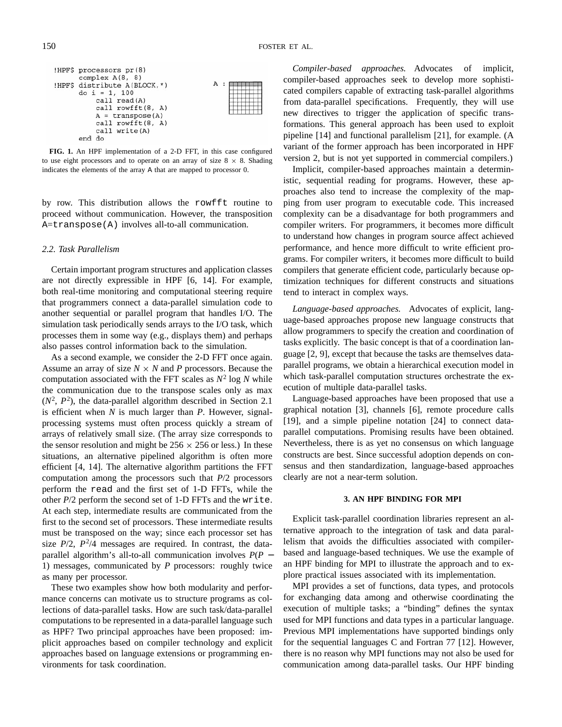|  | ! $HPF$$ processors $pr(8)$   |   |  |
|--|-------------------------------|---|--|
|  | complex $A(8, 8)$             |   |  |
|  | !HPF\$ distribute A(BLOCK, *) | А |  |
|  | do $i = 1, 100$               |   |  |
|  | call read(A)                  |   |  |
|  | call rowfft(8, A)             |   |  |
|  | $A =$ transpose (A)           |   |  |
|  | call rowfft(8, A)             |   |  |
|  | call write (A)                |   |  |
|  | đ٥                            |   |  |

**FIG. 1.** An HPF implementation of a 2-D FFT, in this case configured to use eight processors and to operate on an array of size  $8 \times 8$ . Shading indicates the elements of the array A that are mapped to processor 0.

by row. This distribution allows the rowfft routine to proceed without communication. However, the transposition A=transpose(A) involves all-to-all communication.

## *2.2. Task Parallelism*

Certain important program structures and application classes are not directly expressible in HPF [6, 14]. For example, both real-time monitoring and computational steering require that programmers connect a data-parallel simulation code to another sequential or parallel program that handles I/O. The simulation task periodically sends arrays to the I/O task, which processes them in some way (e.g., displays them) and perhaps also passes control information back to the simulation.

As a second example, we consider the 2-D FFT once again. Assume an array of size  $N \times N$  and *P* processors. Because the computation associated with the FFT scales as  $N^2 \log N$  while the communication due to the transpose scales only as max  $(N^2, P^2)$ , the data-parallel algorithm described in Section 2.1 is efficient when *N* is much larger than *P*. However, signalprocessing systems must often process quickly a stream of arrays of relatively small size. (The array size corresponds to the sensor resolution and might be  $256 \times 256$  or less.) In these situations, an alternative pipelined algorithm is often more efficient [4, 14]. The alternative algorithm partitions the FFT computation among the processors such that *P*/2 processors perform the read and the first set of 1-D FFTs, while the other *P*/2 perform the second set of 1-D FFTs and the write. At each step, intermediate results are communicated from the first to the second set of processors. These intermediate results must be transposed on the way; since each processor set has size  $P/2$ ,  $P^2/4$  messages are required. In contrast, the dataparallel algorithm's all-to-all communication involves *P*(*P* − 1) messages, communicated by *P* processors: roughly twice as many per processor.

These two examples show how both modularity and performance concerns can motivate us to structure programs as collections of data-parallel tasks. How are such task/data-parallel computations to be represented in a data-parallel language such as HPF? Two principal approaches have been proposed: implicit approaches based on compiler technology and explicit approaches based on language extensions or programming environments for task coordination.

*Compiler-based approaches.* Advocates of implicit, compiler-based approaches seek to develop more sophisticated compilers capable of extracting task-parallel algorithms from data-parallel specifications. Frequently, they will use new directives to trigger the application of specific transformations. This general approach has been used to exploit pipeline [14] and functional parallelism [21], for example. (A variant of the former approach has been incorporated in HPF version 2, but is not yet supported in commercial compilers.)

Implicit, compiler-based approaches maintain a deterministic, sequential reading for programs. However, these approaches also tend to increase the complexity of the mapping from user program to executable code. This increased complexity can be a disadvantage for both programmers and compiler writers. For programmers, it becomes more difficult to understand how changes in program source affect achieved performance, and hence more difficult to write efficient programs. For compiler writers, it becomes more difficult to build compilers that generate efficient code, particularly because optimization techniques for different constructs and situations tend to interact in complex ways.

*Language-based approaches.* Advocates of explicit, language-based approaches propose new language constructs that allow programmers to specify the creation and coordination of tasks explicitly. The basic concept is that of a coordination language [2, 9], except that because the tasks are themselves dataparallel programs, we obtain a hierarchical execution model in which task-parallel computation structures orchestrate the execution of multiple data-parallel tasks.

Language-based approaches have been proposed that use a graphical notation [3], channels [6], remote procedure calls [19], and a simple pipeline notation [24] to connect dataparallel computations. Promising results have been obtained. Nevertheless, there is as yet no consensus on which language constructs are best. Since successful adoption depends on consensus and then standardization, language-based approaches clearly are not a near-term solution.

## **3. AN HPF BINDING FOR MPI**

Explicit task-parallel coordination libraries represent an alternative approach to the integration of task and data parallelism that avoids the difficulties associated with compilerbased and language-based techniques. We use the example of an HPF binding for MPI to illustrate the approach and to explore practical issues associated with its implementation.

MPI provides a set of functions, data types, and protocols for exchanging data among and otherwise coordinating the execution of multiple tasks; a "binding" defines the syntax used for MPI functions and data types in a particular language. Previous MPI implementations have supported bindings only for the sequential languages C and Fortran 77 [12]. However, there is no reason why MPI functions may not also be used for communication among data-parallel tasks. Our HPF binding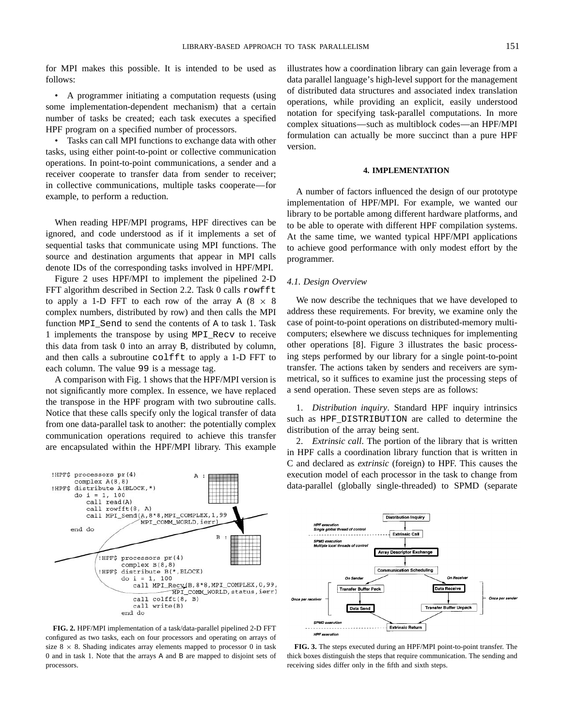for MPI makes this possible. It is intended to be used as follows:

• A programmer initiating a computation requests (using some implementation-dependent mechanism) that a certain number of tasks be created; each task executes a specified HPF program on a specified number of processors.

• Tasks can call MPI functions to exchange data with other tasks, using either point-to-point or collective communication operations. In point-to-point communications, a sender and a receiver cooperate to transfer data from sender to receiver; in collective communications, multiple tasks cooperate—for example, to perform a reduction.

When reading HPF/MPI programs, HPF directives can be ignored, and code understood as if it implements a set of sequential tasks that communicate using MPI functions. The source and destination arguments that appear in MPI calls denote IDs of the corresponding tasks involved in HPF/MPI.

Figure 2 uses HPF/MPI to implement the pipelined 2-D FFT algorithm described in Section 2.2. Task 0 calls rowfft to apply a 1-D FFT to each row of the array A  $(8 \times 8)$ complex numbers, distributed by row) and then calls the MPI function MPI\_Send to send the contents of A to task 1. Task 1 implements the transpose by using MPI\_Recv to receive this data from task 0 into an array B, distributed by column, and then calls a subroutine colfft to apply a 1-D FFT to each column. The value 99 is a message tag.

A comparison with Fig. 1 shows that the HPF/MPI version is not significantly more complex. In essence, we have replaced the transpose in the HPF program with two subroutine calls. Notice that these calls specify only the logical transfer of data from one data-parallel task to another: the potentially complex communication operations required to achieve this transfer are encapsulated within the HPF/MPI library. This example



**FIG. 2.** HPF/MPI implementation of a task/data-parallel pipelined 2-D FFT configured as two tasks, each on four processors and operating on arrays of size  $8 \times 8$ . Shading indicates array elements mapped to processor 0 in task 0 and in task 1. Note that the arrays A and B are mapped to disjoint sets of processors.

illustrates how a coordination library can gain leverage from a data parallel language's high-level support for the management of distributed data structures and associated index translation operations, while providing an explicit, easily understood notation for specifying task-parallel computations. In more complex situations—such as multiblock codes—an HPF/MPI formulation can actually be more succinct than a pure HPF version.

## **4. IMPLEMENTATION**

A number of factors influenced the design of our prototype implementation of HPF/MPI. For example, we wanted our library to be portable among different hardware platforms, and to be able to operate with different HPF compilation systems. At the same time, we wanted typical HPF/MPI applications to achieve good performance with only modest effort by the programmer.

# *4.1. Design Overview*

We now describe the techniques that we have developed to address these requirements. For brevity, we examine only the case of point-to-point operations on distributed-memory multicomputers; elsewhere we discuss techniques for implementing other operations [8]. Figure 3 illustrates the basic processing steps performed by our library for a single point-to-point transfer. The actions taken by senders and receivers are symmetrical, so it suffices to examine just the processing steps of a send operation. These seven steps are as follows:

1. *Distribution inquiry*. Standard HPF inquiry intrinsics such as HPF\_DISTRIBUTION are called to determine the distribution of the array being sent.

2. *Extrinsic call*. The portion of the library that is written in HPF calls a coordination library function that is written in C and declared as *extrinsic* (foreign) to HPF. This causes the execution model of each processor in the task to change from data-parallel (globally single-threaded) to SPMD (separate



**FIG. 3.** The steps executed during an HPF/MPI point-to-point transfer. The thick boxes distinguish the steps that require communication. The sending and receiving sides differ only in the fifth and sixth steps.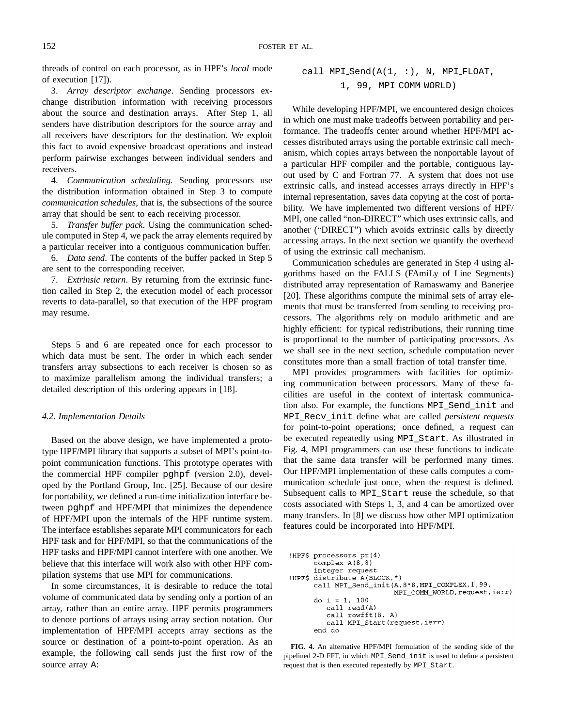threads of control on each processor, as in HPF's *local* mode of execution [17]).

3. *Array descriptor exchange*. Sending processors exchange distribution information with receiving processors about the source and destination arrays. After Step 1, all senders have distribution descriptors for the source array and all receivers have descriptors for the destination. We exploit this fact to avoid expensive broadcast operations and instead perform pairwise exchanges between individual senders and receivers.

4. *Communication scheduling*. Sending processors use the distribution information obtained in Step 3 to compute *communication schedules*, that is, the subsections of the source array that should be sent to each receiving processor.

5. *Transfer buffer pack*. Using the communication schedule computed in Step 4, we pack the array elements required by a particular receiver into a contiguous communication buffer.

6. *Data send*. The contents of the buffer packed in Step 5 are sent to the corresponding receiver.

7. *Extrinsic return*. By returning from the extrinsic function called in Step 2, the execution model of each processor reverts to data-parallel, so that execution of the HPF program may resume.

Steps 5 and 6 are repeated once for each processor to which data must be sent. The order in which each sender transfers array subsections to each receiver is chosen so as to maximize parallelism among the individual transfers; a detailed description of this ordering appears in [18].

#### *4.2. Implementation Details*

Based on the above design, we have implemented a prototype HPF/MPI library that supports a subset of MPI's point-topoint communication functions. This prototype operates with the commercial HPF compiler pghpf (version 2.0), developed by the Portland Group, Inc. [25]. Because of our desire for portability, we defined a run-time initialization interface between pghpf and HPF/MPI that minimizes the dependence of HPF/MPI upon the internals of the HPF runtime system. The interface establishes separate MPI communicators for each HPF task and for HPF/MPI, so that the communications of the HPF tasks and HPF/MPI cannot interfere with one another. We believe that this interface will work also with other HPF compilation systems that use MPI for communications.

In some circumstances, it is desirable to reduce the total volume of communicated data by sending only a portion of an array, rather than an entire array. HPF permits programmers to denote portions of arrays using array section notation. Our implementation of HPF/MPI accepts array sections as the source or destination of a point-to-point operation. As an example, the following call sends just the first row of the source array A:

$$
\begin{array}{lcl} \texttt{call MPI\_Send(A(1, :), N, MPI_FLOAT,} \\ & 1, 99, MPI_COMM_WORLD) \end{array}
$$

While developing HPF/MPI, we encountered design choices in which one must make tradeoffs between portability and performance. The tradeoffs center around whether HPF/MPI accesses distributed arrays using the portable extrinsic call mechanism, which copies arrays between the nonportable layout of a particular HPF compiler and the portable, contiguous layout used by C and Fortran 77. A system that does not use extrinsic calls, and instead accesses arrays directly in HPF's internal representation, saves data copying at the cost of portability. We have implemented two different versions of HPF/ MPI, one called "non-DIRECT" which uses extrinsic calls, and another ("DIRECT") which avoids extrinsic calls by directly accessing arrays. In the next section we quantify the overhead of using the extrinsic call mechanism.

Communication schedules are generated in Step 4 using algorithms based on the FALLS (FAmiLy of Line Segments) distributed array representation of Ramaswamy and Banerjee [20]. These algorithms compute the minimal sets of array elements that must be transferred from sending to receiving processors. The algorithms rely on modulo arithmetic and are highly efficient: for typical redistributions, their running time is proportional to the number of participating processors. As we shall see in the next section, schedule computation never constitutes more than a small fraction of total transfer time.

MPI provides programmers with facilities for optimizing communication between processors. Many of these facilities are useful in the context of intertask communication also. For example, the functions MPI\_Send\_init and MPI\_Recv\_init define what are called *persistent requests* for point-to-point operations; once defined, a request can be executed repeatedly using MPI\_Start. As illustrated in Fig. 4, MPI programmers can use these functions to indicate that the same data transfer will be performed many times. Our HPF/MPI implementation of these calls computes a communication schedule just once, when the request is defined. Subsequent calls to MPI\_Start reuse the schedule, so that costs associated with Steps 1, 3, and 4 can be amortized over many transfers. In [8] we discuss how other MPI optimization features could be incorporated into HPF/MPI.

```
!HPF$ processors pr(4)
      complex A(8, 8)integer request
!HPF$ distribute A(BLOCK,*)
      call MPI_Send_init(A, 8*8, MPI_COMPLEX, 1, 99,
                          MPI_COMM_WORLD, request, ierr)
      do i = 1, 100
         call read(A)
         call rowfft(8, A)
         call MPI_Start(request,ierr)
      end do
```
**FIG. 4.** An alternative HPF/MPI formulation of the sending side of the pipelined 2-D FFT, in which MPI\_Send\_init is used to define a persistent request that is then executed repeatedly by MPI\_Start.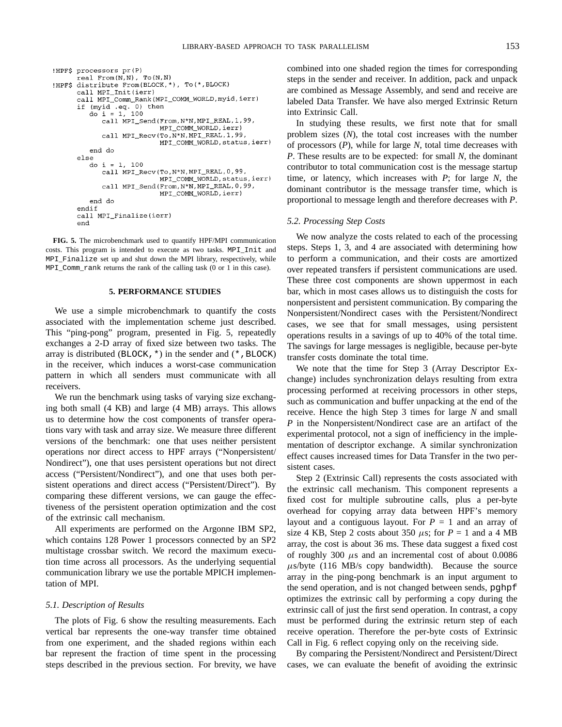```
!HPF$ processors pr(P)
      real From(N,N), To(N,N)
!HPF$ distribute From(BLOCK,*), To(*,BLOCK)
      call MPI_Init(ierr)
      call MPI_Comm_Rank(MPI_COMM_WORLD, myid, ierr)
      if (myid .eq. 0) then
         do i = 1, 100call MPI_Send(From, N*N, MPI_REAL, 1, 99,
                           MPI_COMM_WORLD, ierr)
            call MPI_Recv(To, N*N, MPI_REAL, 1, 99,
                           MPI_COMM_WORLD, status, ierr)
         end do
      else
         do i = 1, 100
            call MPI_Recv(To, N*N, MPI_REAL, 0, 99,
                           MPI_COMM_WORLD, status, ierr)
            call MPI_Send(From, N*N, MPI_REAL, 0, 99,
                           MPI_COMM_WORLD, ierr)
         end do
      endif
      call MPI_Finalize(ierr)
      end
```
**FIG. 5.** The microbenchmark used to quantify HPF/MPI communication costs. This program is intended to execute as two tasks. MPI\_Init and MPI\_Finalize set up and shut down the MPI library, respectively, while MPI\_Comm\_rank returns the rank of the calling task (0 or 1 in this case).

## **5. PERFORMANCE STUDIES**

We use a simple microbenchmark to quantify the costs associated with the implementation scheme just described. This "ping-pong" program, presented in Fig. 5, repeatedly exchanges a 2-D array of fixed size between two tasks. The array is distributed (BLOCK,  $\star$ ) in the sender and ( $\star$ , BLOCK) in the receiver, which induces a worst-case communication pattern in which all senders must communicate with all receivers.

We run the benchmark using tasks of varying size exchanging both small (4 KB) and large (4 MB) arrays. This allows us to determine how the cost components of transfer operations vary with task and array size. We measure three different versions of the benchmark: one that uses neither persistent operations nor direct access to HPF arrays ("Nonpersistent/ Nondirect"), one that uses persistent operations but not direct access ("Persistent/Nondirect"), and one that uses both persistent operations and direct access ("Persistent/Direct"). By comparing these different versions, we can gauge the effectiveness of the persistent operation optimization and the cost of the extrinsic call mechanism.

All experiments are performed on the Argonne IBM SP2, which contains 128 Power 1 processors connected by an SP2 multistage crossbar switch. We record the maximum execution time across all processors. As the underlying sequential communication library we use the portable MPICH implementation of MPI.

#### *5.1. Description of Results*

The plots of Fig. 6 show the resulting measurements. Each vertical bar represents the one-way transfer time obtained from one experiment, and the shaded regions within each bar represent the fraction of time spent in the processing steps described in the previous section. For brevity, we have combined into one shaded region the times for corresponding steps in the sender and receiver. In addition, pack and unpack are combined as Message Assembly, and send and receive are labeled Data Transfer. We have also merged Extrinsic Return into Extrinsic Call.

In studying these results, we first note that for small problem sizes (*N*), the total cost increases with the number of processors (*P*), while for large *N*, total time decreases with *P*. These results are to be expected: for small *N*, the dominant contributor to total communication cost is the message startup time, or latency, which increases with *P*; for large *N*, the dominant contributor is the message transfer time, which is proportional to message length and therefore decreases with *P*.

# *5.2. Processing Step Costs*

We now analyze the costs related to each of the processing steps. Steps 1, 3, and 4 are associated with determining how to perform a communication, and their costs are amortized over repeated transfers if persistent communications are used. These three cost components are shown uppermost in each bar, which in most cases allows us to distinguish the costs for nonpersistent and persistent communication. By comparing the Nonpersistent/Nondirect cases with the Persistent/Nondirect cases, we see that for small messages, using persistent operations results in a savings of up to 40% of the total time. The savings for large messages is negligible, because per-byte transfer costs dominate the total time.

We note that the time for Step 3 (Array Descriptor Exchange) includes synchronization delays resulting from extra processing performed at receiving processors in other steps, such as communication and buffer unpacking at the end of the receive. Hence the high Step 3 times for large *N* and small *P* in the Nonpersistent/Nondirect case are an artifact of the experimental protocol, not a sign of inefficiency in the implementation of descriptor exchange. A similar synchronization effect causes increased times for Data Transfer in the two persistent cases.

Step 2 (Extrinsic Call) represents the costs associated with the extrinsic call mechanism. This component represents a fixed cost for multiple subroutine calls, plus a per-byte overhead for copying array data between HPF's memory layout and a contiguous layout. For  $P = 1$  and an array of size 4 KB, Step 2 costs about 350  $\mu$ s; for  $P = 1$  and a 4 MB array, the cost is about 36 ms. These data suggest a fixed cost of roughly 300  $\mu$ s and an incremental cost of about 0.0086  $\mu$ s/byte (116 MB/s copy bandwidth). Because the source array in the ping-pong benchmark is an input argument to the send operation, and is not changed between sends, pghpf optimizes the extrinsic call by performing a copy during the extrinsic call of just the first send operation. In contrast, a copy must be performed during the extrinsic return step of each receive operation. Therefore the per-byte costs of Extrinsic Call in Fig. 6 reflect copying only on the receiving side.

By comparing the Persistent/Nondirect and Persistent/Direct cases, we can evaluate the benefit of avoiding the extrinsic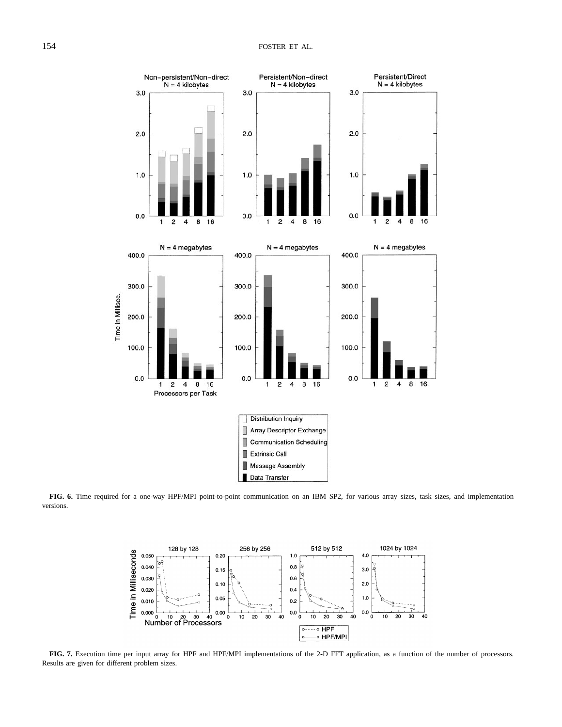

**FIG. 6.** Time required for a one-way HPF/MPI point-to-point communication on an IBM SP2, for various array sizes, task sizes, and implementation versions.



**FIG. 7.** Execution time per input array for HPF and HPF/MPI implementations of the 2-D FFT application, as a function of the number of processors. Results are given for different problem sizes.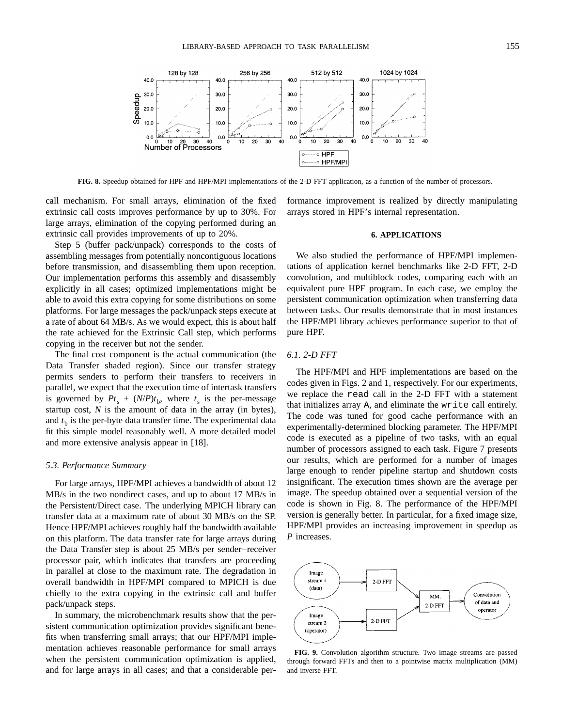

**FIG. 8.** Speedup obtained for HPF and HPF/MPI implementations of the 2-D FFT application, as a function of the number of processors.

call mechanism. For small arrays, elimination of the fixed extrinsic call costs improves performance by up to 30%. For large arrays, elimination of the copying performed during an extrinsic call provides improvements of up to 20%.

Step 5 (buffer pack/unpack) corresponds to the costs of assembling messages from potentially noncontiguous locations before transmission, and disassembling them upon reception. Our implementation performs this assembly and disassembly explicitly in all cases; optimized implementations might be able to avoid this extra copying for some distributions on some platforms. For large messages the pack/unpack steps execute at a rate of about 64 MB/s. As we would expect, this is about half the rate achieved for the Extrinsic Call step, which performs copying in the receiver but not the sender.

The final cost component is the actual communication (the Data Transfer shaded region). Since our transfer strategy permits senders to perform their transfers to receivers in parallel, we expect that the execution time of intertask transfers is governed by  $Pt_s + (N/P)t_b$ , where  $t_s$  is the per-message startup cost, *N* is the amount of data in the array (in bytes), and  $t<sub>b</sub>$  is the per-byte data transfer time. The experimental data fit this simple model reasonably well. A more detailed model and more extensive analysis appear in [18].

## *5.3. Performance Summary*

For large arrays, HPF/MPI achieves a bandwidth of about 12 MB/s in the two nondirect cases, and up to about 17 MB/s in the Persistent/Direct case. The underlying MPICH library can transfer data at a maximum rate of about 30 MB/s on the SP. Hence HPF/MPI achieves roughly half the bandwidth available on this platform. The data transfer rate for large arrays during the Data Transfer step is about 25 MB/s per sender–receiver processor pair, which indicates that transfers are proceeding in parallel at close to the maximum rate. The degradation in overall bandwidth in HPF/MPI compared to MPICH is due chiefly to the extra copying in the extrinsic call and buffer pack/unpack steps.

In summary, the microbenchmark results show that the persistent communication optimization provides significant benefits when transferring small arrays; that our HPF/MPI implementation achieves reasonable performance for small arrays when the persistent communication optimization is applied, and for large arrays in all cases; and that a considerable performance improvement is realized by directly manipulating arrays stored in HPF's internal representation.

### **6. APPLICATIONS**

We also studied the performance of HPF/MPI implementations of application kernel benchmarks like 2-D FFT, 2-D convolution, and multiblock codes, comparing each with an equivalent pure HPF program. In each case, we employ the persistent communication optimization when transferring data between tasks. Our results demonstrate that in most instances the HPF/MPI library achieves performance superior to that of pure HPF.

# *6.1. 2-D FFT*

The HPF/MPI and HPF implementations are based on the codes given in Figs. 2 and 1, respectively. For our experiments, we replace the read call in the 2-D FFT with a statement that initializes array A, and eliminate the write call entirely. The code was tuned for good cache performance with an experimentally-determined blocking parameter. The HPF/MPI code is executed as a pipeline of two tasks, with an equal number of processors assigned to each task. Figure 7 presents our results, which are performed for a number of images large enough to render pipeline startup and shutdown costs insignificant. The execution times shown are the average per image. The speedup obtained over a sequential version of the code is shown in Fig. 8. The performance of the HPF/MPI version is generally better. In particular, for a fixed image size, HPF/MPI provides an increasing improvement in speedup as *P* increases.



**FIG. 9.** Convolution algorithm structure. Two image streams are passed through forward FFTs and then to a pointwise matrix multiplication (MM) and inverse FFT.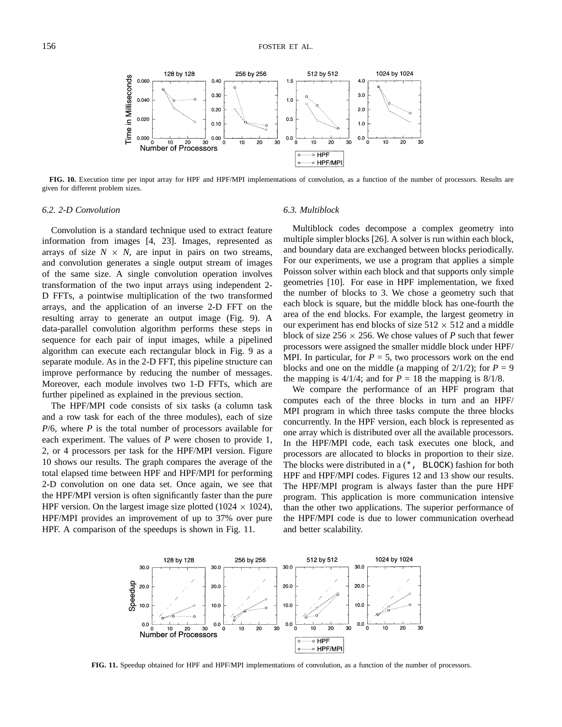

**FIG. 10.** Execution time per input array for HPF and HPF/MPI implementations of convolution, as a function of the number of processors. Results are given for different problem sizes.

#### *6.2. 2-D Convolution*

Convolution is a standard technique used to extract feature information from images [4, 23]. Images, represented as arrays of size  $N \times N$ , are input in pairs on two streams, and convolution generates a single output stream of images of the same size. A single convolution operation involves transformation of the two input arrays using independent 2- D FFTs, a pointwise multiplication of the two transformed arrays, and the application of an inverse 2-D FFT on the resulting array to generate an output image (Fig. 9). A data-parallel convolution algorithm performs these steps in sequence for each pair of input images, while a pipelined algorithm can execute each rectangular block in Fig. 9 as a separate module. As in the 2-D FFT, this pipeline structure can improve performance by reducing the number of messages. Moreover, each module involves two 1-D FFTs, which are further pipelined as explained in the previous section.

The HPF/MPI code consists of six tasks (a column task and a row task for each of the three modules), each of size *P*/6, where *P* is the total number of processors available for each experiment. The values of *P* were chosen to provide 1, 2, or 4 processors per task for the HPF/MPI version. Figure 10 shows our results. The graph compares the average of the total elapsed time between HPF and HPF/MPI for performing 2-D convolution on one data set. Once again, we see that the HPF/MPI version is often significantly faster than the pure HPF version. On the largest image size plotted (1024  $\times$  1024), HPF/MPI provides an improvement of up to 37% over pure HPF. A comparison of the speedups is shown in Fig. 11.

## *6.3. Multiblock*

Multiblock codes decompose a complex geometry into multiple simpler blocks [26]. A solver is run within each block, and boundary data are exchanged between blocks periodically. For our experiments, we use a program that applies a simple Poisson solver within each block and that supports only simple geometries [10]. For ease in HPF implementation, we fixed the number of blocks to 3. We chose a geometry such that each block is square, but the middle block has one-fourth the area of the end blocks. For example, the largest geometry in our experiment has end blocks of size  $512 \times 512$  and a middle block of size  $256 \times 256$ . We chose values of *P* such that fewer processors were assigned the smaller middle block under HPF/ MPI. In particular, for  $P = 5$ , two processors work on the end blocks and one on the middle (a mapping of  $2/1/2$ ); for  $P = 9$ the mapping is  $4/1/4$ ; and for  $P = 18$  the mapping is  $8/1/8$ .

We compare the performance of an HPF program that computes each of the three blocks in turn and an HPF/ MPI program in which three tasks compute the three blocks concurrently. In the HPF version, each block is represented as one array which is distributed over all the available processors. In the HPF/MPI code, each task executes one block, and processors are allocated to blocks in proportion to their size. The blocks were distributed in a (\*, BLOCK) fashion for both HPF and HPF/MPI codes. Figures 12 and 13 show our results. The HPF/MPI program is always faster than the pure HPF program. This application is more communication intensive than the other two applications. The superior performance of the HPF/MPI code is due to lower communication overhead and better scalability.



**FIG. 11.** Speedup obtained for HPF and HPF/MPI implementations of convolution, as a function of the number of processors.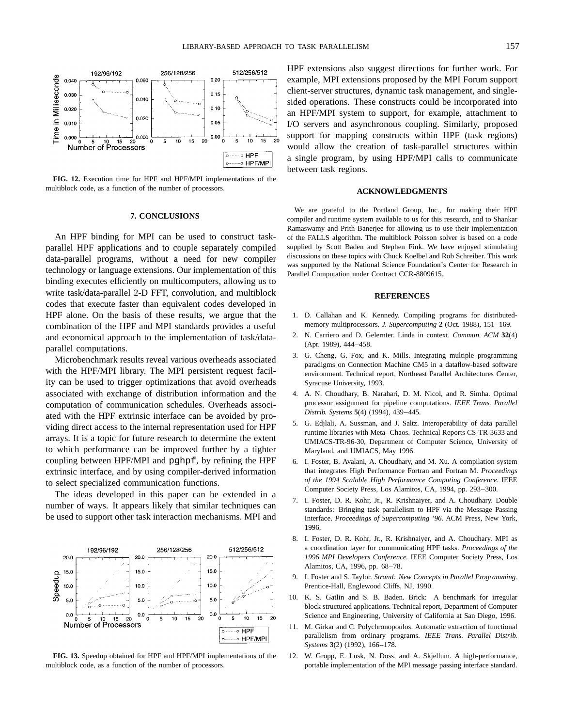

**FIG. 12.** Execution time for HPF and HPF/MPI implementations of the multiblock code, as a function of the number of processors.

## **7. CONCLUSIONS**

An HPF binding for MPI can be used to construct taskparallel HPF applications and to couple separately compiled data-parallel programs, without a need for new compiler technology or language extensions. Our implementation of this binding executes efficiently on multicomputers, allowing us to write task/data-parallel 2-D FFT, convolution, and multiblock codes that execute faster than equivalent codes developed in HPF alone. On the basis of these results, we argue that the combination of the HPF and MPI standards provides a useful and economical approach to the implementation of task/dataparallel computations.

Microbenchmark results reveal various overheads associated with the HPF/MPI library. The MPI persistent request facility can be used to trigger optimizations that avoid overheads associated with exchange of distribution information and the computation of communication schedules. Overheads associated with the HPF extrinsic interface can be avoided by providing direct access to the internal representation used for HPF arrays. It is a topic for future research to determine the extent to which performance can be improved further by a tighter coupling between HPF/MPI and pghpf, by refining the HPF extrinsic interface, and by using compiler-derived information to select specialized communication functions.

The ideas developed in this paper can be extended in a number of ways. It appears likely that similar techniques can be used to support other task interaction mechanisms. MPI and



**FIG. 13.** Speedup obtained for HPF and HPF/MPI implementations of the multiblock code, as a function of the number of processors.

HPF extensions also suggest directions for further work. For example, MPI extensions proposed by the MPI Forum support client-server structures, dynamic task management, and singlesided operations. These constructs could be incorporated into an HPF/MPI system to support, for example, attachment to I/O servers and asynchronous coupling. Similarly, proposed support for mapping constructs within HPF (task regions) would allow the creation of task-parallel structures within a single program, by using HPF/MPI calls to communicate between task regions.

#### **ACKNOWLEDGMENTS**

We are grateful to the Portland Group, Inc., for making their HPF compiler and runtime system available to us for this research, and to Shankar Ramaswamy and Prith Banerjee for allowing us to use their implementation of the FALLS algorithm. The multiblock Poisson solver is based on a code supplied by Scott Baden and Stephen Fink. We have enjoyed stimulating discussions on these topics with Chuck Koelbel and Rob Schreiber. This work was supported by the National Science Foundation's Center for Research in Parallel Computation under Contract CCR-8809615.

#### **REFERENCES**

- 1. D. Callahan and K. Kennedy. Compiling programs for distributedmemory multiprocessors. *J. Supercomputing* **2** (Oct. 1988), 151–169.
- 2. N. Carriero and D. Gelernter. Linda in context. *Commun. ACM* **32**(4) (Apr. 1989), 444–458.
- 3. G. Cheng, G. Fox, and K. Mills. Integrating multiple programming paradigms on Connection Machine CM5 in a dataflow-based software environment. Technical report, Northeast Parallel Architectures Center, Syracuse University, 1993.
- 4. A. N. Choudhary, B. Narahari, D. M. Nicol, and R. Simha. Optimal processor assignment for pipeline computations. *IEEE Trans. Parallel Distrib. Systems* **5**(4) (1994), 439–445.
- 5. G. Edjlali, A. Sussman, and J. Saltz. Interoperability of data parallel runtime libraries with Meta–Chaos. Technical Reports CS-TR-3633 and UMIACS-TR-96-30, Department of Computer Science, University of Maryland, and UMIACS, May 1996.
- 6. I. Foster, B. Avalani, A. Choudhary, and M. Xu. A compilation system that integrates High Performance Fortran and Fortran M. *Proceedings of the 1994 Scalable High Performance Computing Conference.* IEEE Computer Society Press, Los Alamitos, CA, 1994, pp. 293–300.
- 7. I. Foster, D. R. Kohr, Jr., R. Krishnaiyer, and A. Choudhary. Double standards: Bringing task parallelism to HPF via the Message Passing Interface. *Proceedings of Supercomputing '96.* ACM Press, New York, 1996.
- 8. I. Foster, D. R. Kohr, Jr., R. Krishnaiyer, and A. Choudhary. MPI as a coordination layer for communicating HPF tasks. *Proceedings of the 1996 MPI Developers Conference.* IEEE Computer Society Press, Los Alamitos, CA, 1996, pp. 68–78.
- 9. I. Foster and S. Taylor. *Strand: New Concepts in Parallel Programming.* Prentice-Hall, Englewood Cliffs, NJ, 1990.
- 10. K. S. Gatlin and S. B. Baden. Brick: A benchmark for irregular block structured applications. Technical report, Department of Computer Science and Engineering, University of California at San Diego, 1996.
- 11. M. Girkar and C. Polychronopoulos. Automatic extraction of functional parallelism from ordinary programs. *IEEE Trans. Parallel Distrib. Systems* **3**(2) (1992), 166–178.
- 12. W. Gropp, E. Lusk, N. Doss, and A. Skjellum. A high-performance, portable implementation of the MPI message passing interface standard.